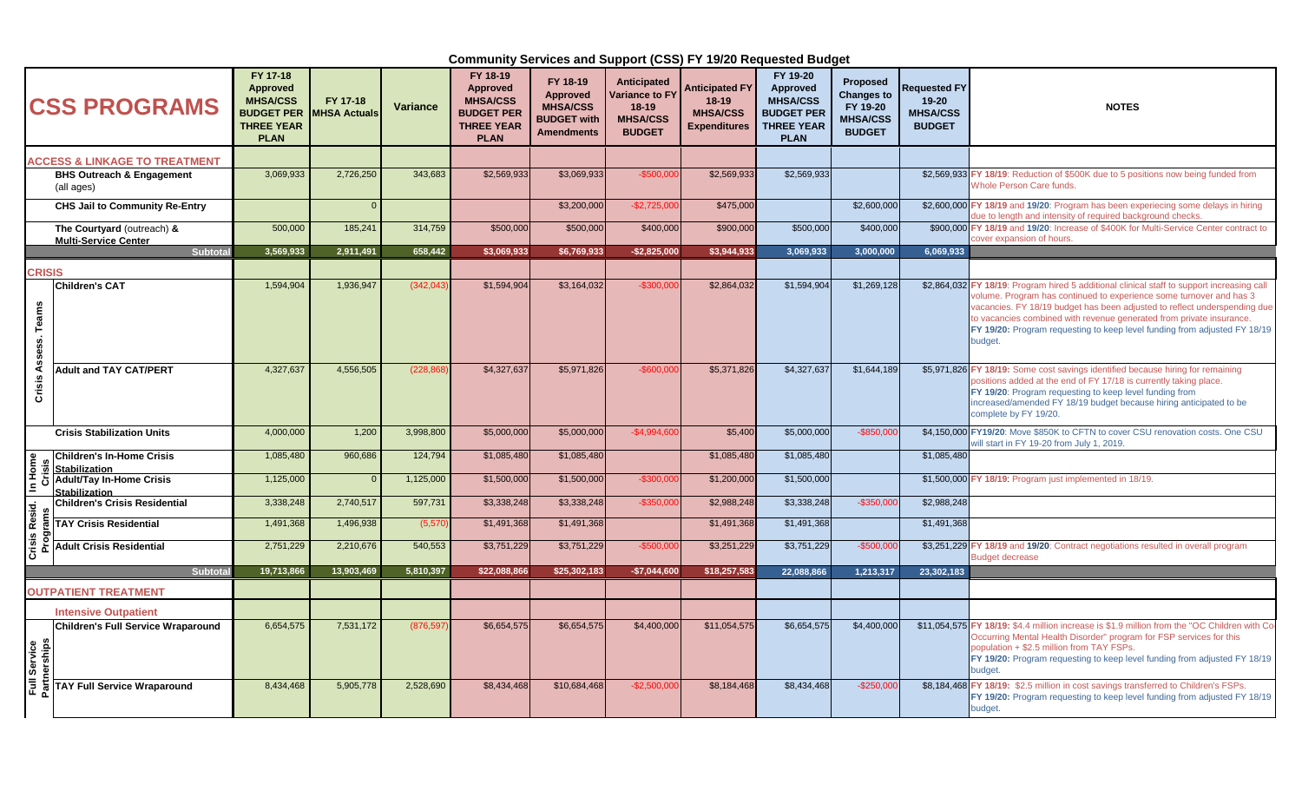| <b>CSS PROGRAMS</b>                                |                                                           | FY 17-18<br><b>Approved</b><br><b>MHSA/CSS</b><br><b>BUDGET PER</b><br><b>THREE YEAR</b><br><b>PLAN</b> | FY 17-18<br><b>MHSA Actuals</b> | <b>Variance</b> | FY 18-19<br>Approved<br><b>MHSA/CSS</b><br><b>BUDGET PER</b><br><b>THREE YEAR</b><br><b>PLAN</b> | FY 18-19<br><b>Approved</b><br><b>MHSA/CSS</b><br><b>BUDGET with</b><br><b>Amendments</b> | Anticipated<br><b>Variance to FY</b><br>$18-19$<br><b>MHSA/CSS</b><br><b>BUDGET</b> | <b>Anticipated FY</b><br>$18-19$<br><b>MHSA/CSS</b><br><b>Expenditures</b> | FY 19-20<br><b>Approved</b><br><b>MHSA/CSS</b><br><b>BUDGET PER</b><br><b>THREE YEAR</b><br><b>PLAN</b> | <b>Proposed</b><br><b>Changes to</b><br>FY 19-20<br><b>MHSA/CSS</b><br><b>BUDGET</b> | <b>Requested FY</b><br>$19 - 20$<br><b>MHSA/CSS</b><br><b>BUDGET</b> | <b>NOTES</b>                                                                                                                                                                                                                                                                                                                                                                                                   |
|----------------------------------------------------|-----------------------------------------------------------|---------------------------------------------------------------------------------------------------------|---------------------------------|-----------------|--------------------------------------------------------------------------------------------------|-------------------------------------------------------------------------------------------|-------------------------------------------------------------------------------------|----------------------------------------------------------------------------|---------------------------------------------------------------------------------------------------------|--------------------------------------------------------------------------------------|----------------------------------------------------------------------|----------------------------------------------------------------------------------------------------------------------------------------------------------------------------------------------------------------------------------------------------------------------------------------------------------------------------------------------------------------------------------------------------------------|
|                                                    | <b>ACCESS &amp; LINKAGE TO TREATMENT</b>                  |                                                                                                         |                                 |                 |                                                                                                  |                                                                                           |                                                                                     |                                                                            |                                                                                                         |                                                                                      |                                                                      |                                                                                                                                                                                                                                                                                                                                                                                                                |
| <b>BHS Outreach &amp; Engagement</b><br>(all ages) |                                                           | 3,069,933                                                                                               | 2,726,250                       | 343,683         | \$2,569,933                                                                                      | \$3,069,933                                                                               | $-$ \$500,00                                                                        | \$2,569,933                                                                | \$2,569,933                                                                                             |                                                                                      |                                                                      | \$2,569,933 FY 18/19: Reduction of \$500K due to 5 positions now being funded from<br><b>Whole Person Care funds.</b>                                                                                                                                                                                                                                                                                          |
|                                                    | <b>CHS Jail to Community Re-Entry</b>                     |                                                                                                         |                                 |                 |                                                                                                  | \$3,200,000                                                                               | $-$ \$2,725,000                                                                     | \$475,000                                                                  |                                                                                                         | \$2,600,000                                                                          |                                                                      | \$2,600,000 FY 18/19 and 19/20: Program has been experiecing some delays in hiring<br>lue to length and intensity of required background checks.                                                                                                                                                                                                                                                               |
|                                                    | The Courtyard (outreach) &<br><b>Multi-Service Center</b> | 500,000                                                                                                 | 185,241                         | 314,759         | \$500,000                                                                                        | \$500,000                                                                                 | \$400,000                                                                           | \$900,000                                                                  | \$500,000                                                                                               | \$400,000                                                                            |                                                                      | \$900,000 FY 18/19 and 19/20: Increase of \$400K for Multi-Service Center contract to<br>over expansion of hours.                                                                                                                                                                                                                                                                                              |
|                                                    | Subtota                                                   | 3,569,933                                                                                               | 2,911,491                       | 658,442         | \$3,069,933                                                                                      | \$6,769,933                                                                               | $-$2,825,000$                                                                       | \$3,944,933                                                                | 3,069,933                                                                                               | 3,000,000                                                                            | 6,069,933                                                            |                                                                                                                                                                                                                                                                                                                                                                                                                |
| <b>CRISIS</b>                                      |                                                           |                                                                                                         |                                 |                 |                                                                                                  |                                                                                           |                                                                                     |                                                                            |                                                                                                         |                                                                                      |                                                                      |                                                                                                                                                                                                                                                                                                                                                                                                                |
| Assess. Teams                                      | <b>Children's CAT</b>                                     | 1,594,904                                                                                               | 1,936,947                       | (342,04)        | \$1,594,904                                                                                      | \$3,164,032                                                                               | $-$ \$300,00                                                                        | \$2,864,032                                                                | \$1,594,904                                                                                             | \$1,269,128                                                                          |                                                                      | \$2,864,032 FY 18/19: Program hired 5 additional clinical staff to support increasing call<br>volume. Program has continued to experience some turnover and has 3<br>vacancies. FY 18/19 budget has been adjusted to reflect underspending due<br>to vacancies combined with revenue generated from private insurance.<br>FY 19/20: Program requesting to keep level funding from adjusted FY 18/19<br>budget. |
| Crisis                                             | <b>Adult and TAY CAT/PERT</b>                             | 4,327,637                                                                                               | 4,556,505                       | (228, 86)       | \$4,327,637                                                                                      | \$5,971,826                                                                               | $-$ \$600,00                                                                        | \$5,371,826                                                                | \$4,327,637                                                                                             | \$1,644,189                                                                          |                                                                      | \$5,971,826 FY 18/19: Some cost savings identified because hiring for remaining<br>positions added at the end of FY 17/18 is currently taking place.<br>FY 19/20: Program requesting to keep level funding from<br>increased/amended FY 18/19 budget because hiring anticipated to be<br>complete by FY 19/20.                                                                                                 |
|                                                    | <b>Crisis Stabilization Units</b>                         | 4,000,000                                                                                               | 1,200                           | 3,998,800       | \$5,000,000                                                                                      | \$5,000,000                                                                               | $-$ \$4.994.60                                                                      | \$5,400                                                                    | \$5,000,000                                                                                             | $-$850.000$                                                                          |                                                                      | \$4,150,000 FY19/20: Move \$850K to CFTN to cover CSU renovation costs. One CSU<br>will start in FY 19-20 from July 1, 2019.                                                                                                                                                                                                                                                                                   |
|                                                    | Children's In-Home Crisis<br><b>Stabilization</b>         | 1,085,480                                                                                               | 960,686                         | 124,794         | \$1,085,480                                                                                      | \$1,085,480                                                                               |                                                                                     | \$1,085,480                                                                | \$1,085,480                                                                                             |                                                                                      | \$1,085,480                                                          |                                                                                                                                                                                                                                                                                                                                                                                                                |
| Crisis Resid. In Home<br>Programs Crisis           | <b>Adult/Tay In-Home Crisis</b><br><b>Stabilization</b>   | 1,125,000                                                                                               |                                 | 1,125,000       | \$1,500,000                                                                                      | \$1,500,000                                                                               | $-$300,00$                                                                          | \$1,200,000                                                                | \$1,500,000                                                                                             |                                                                                      |                                                                      | \$1,500,000 FY 18/19: Program just implemented in 18/19.                                                                                                                                                                                                                                                                                                                                                       |
|                                                    | <b>Children's Crisis Residential</b>                      | 3,338,248                                                                                               | 2,740,517                       | 597,731         | \$3,338,248                                                                                      | \$3,338,248                                                                               | $-$ \$350,00                                                                        | \$2,988,248                                                                | \$3,338,248                                                                                             | $-$350,000$                                                                          | \$2,988,248                                                          |                                                                                                                                                                                                                                                                                                                                                                                                                |
|                                                    | <b>TAY Crisis Residential</b>                             | 1,491,368                                                                                               | 1,496,938                       | (5, 57)         | \$1,491,368                                                                                      | \$1,491,368                                                                               |                                                                                     | \$1,491,368                                                                | \$1,491,368                                                                                             |                                                                                      | \$1,491,368                                                          |                                                                                                                                                                                                                                                                                                                                                                                                                |
|                                                    | <b>Adult Crisis Residential</b>                           | 2,751,229                                                                                               | 2,210,676                       | 540,553         | \$3,751,229                                                                                      | \$3,751,229                                                                               | $-$ \$500.00                                                                        | \$3,251,229                                                                | \$3,751,229                                                                                             | $-$500.000$                                                                          |                                                                      | \$3,251,229 FY 18/19 and 19/20: Contract negotiations resulted in overall program<br><b>Budget decrease</b>                                                                                                                                                                                                                                                                                                    |
|                                                    | Subtotal                                                  | 19,713,866                                                                                              | 13,903,469                      | 5,810,397       | \$22.088.866                                                                                     | \$25,302,183                                                                              | $-$7,044,600$                                                                       | \$18,257,583                                                               | 22.088.866                                                                                              | 1,213,317                                                                            | 23,302,183                                                           |                                                                                                                                                                                                                                                                                                                                                                                                                |
|                                                    | <b>OUTPATIENT TREATMENT</b>                               |                                                                                                         |                                 |                 |                                                                                                  |                                                                                           |                                                                                     |                                                                            |                                                                                                         |                                                                                      |                                                                      |                                                                                                                                                                                                                                                                                                                                                                                                                |
|                                                    | <b>Intensive Outpatient</b>                               |                                                                                                         |                                 |                 |                                                                                                  |                                                                                           |                                                                                     |                                                                            |                                                                                                         |                                                                                      |                                                                      |                                                                                                                                                                                                                                                                                                                                                                                                                |
| Service<br>nerships                                | <b>Children's Full Service Wraparound</b>                 | 6,654,575                                                                                               | 7,531,172                       | (876, 597)      | \$6,654,575                                                                                      | \$6,654,575                                                                               | \$4,400,000                                                                         | \$11,054,575                                                               | \$6,654,575                                                                                             | \$4,400,000                                                                          |                                                                      | \$11,054,575 FY 18/19: \$4.4 million increase is \$1.9 million from the "OC Children with Co-<br>Occurring Mental Health Disorder" program for FSP services for this<br>population + \$2.5 million from TAY FSPs.<br>FY 19/20: Program requesting to keep level funding from adjusted FY 18/19<br>budget.                                                                                                      |
| Full                                               | <b>TAY Full Service Wraparound</b>                        | 8,434,468                                                                                               | 5.905.778                       | 2.528.690       | \$8,434,468                                                                                      | \$10,684,468                                                                              | $-$ \$2.500.00                                                                      | \$8,184,468                                                                | \$8,434,468                                                                                             | $-$250.000$                                                                          |                                                                      | \$8,184,468 FY 18/19: \$2.5 million in cost savings transferred to Children's FSPs<br>FY 19/20: Program requesting to keep level funding from adjusted FY 18/19<br>budget.                                                                                                                                                                                                                                     |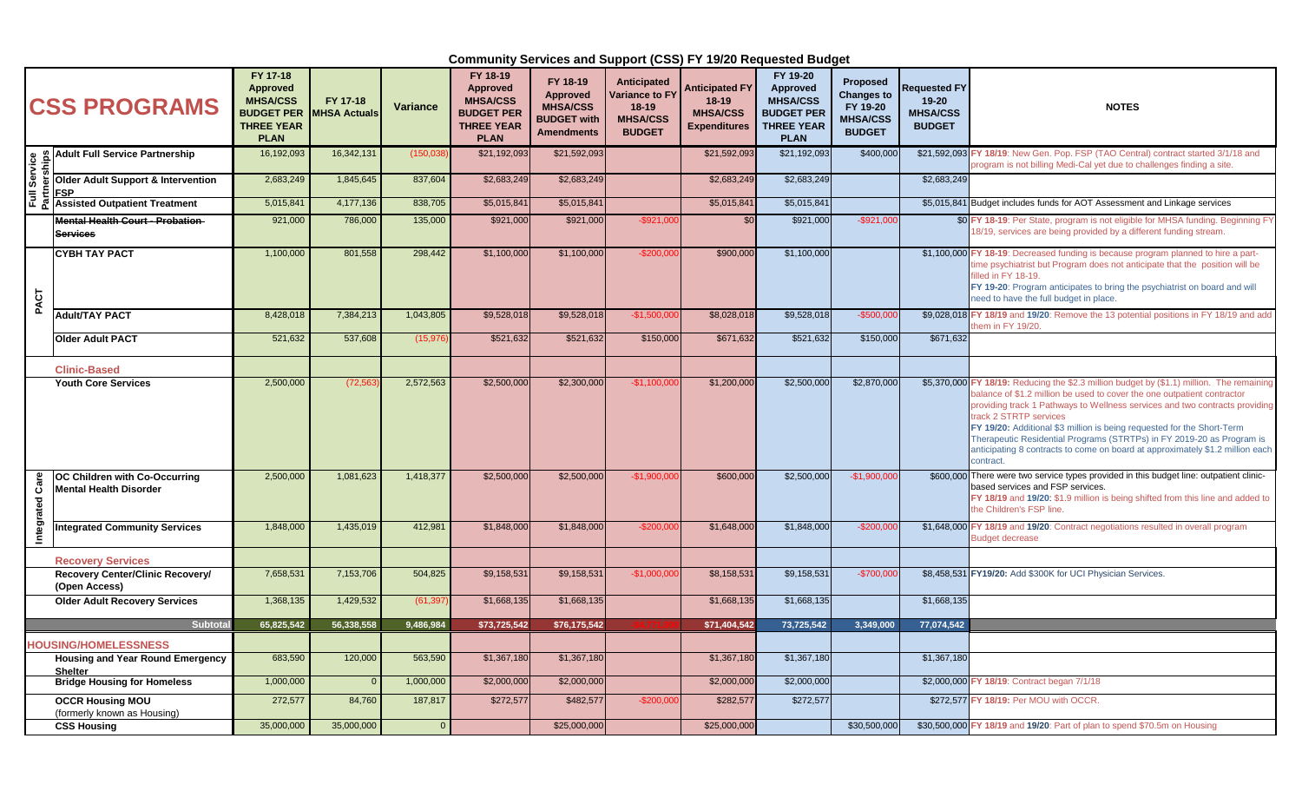| <b>CSS PROGRAMS</b> |                                                                | FY 17-18<br><b>Approved</b><br><b>MHSA/CSS</b><br><b>THREE YEAR</b><br><b>PLAN</b> | FY 17-18<br><b>BUDGET PER MHSA Actuals</b> | <b>Variance</b> | FY 18-19<br><b>Approved</b><br><b>MHSA/CSS</b><br><b>BUDGET PER</b><br><b>THREE YEAR</b><br><b>PLAN</b> | FY 18-19<br><b>Approved</b><br><b>MHSA/CSS</b><br><b>BUDGET with</b><br><b>Amendments</b> | <b>Anticipated</b><br><b>Variance to FY</b><br>$18-19$<br><b>MHSA/CSS</b><br><b>BUDGET</b> | <b>Anticipated FY</b><br>$18-19$<br><b>MHSA/CSS</b><br><b>Expenditures</b> | FY 19-20<br><b>Approved</b><br><b>MHSA/CSS</b><br><b>BUDGET PER</b><br><b>THREE YEAR</b><br><b>PLAN</b> | <b>Proposed</b><br><b>Changes to</b><br>FY 19-20<br><b>MHSA/CSS</b><br><b>BUDGET</b> | <b>Requested FY</b><br>$19 - 20$<br><b>MHSA/CSS</b><br><b>BUDGET</b> | <b>NOTES</b>                                                                                                                                                                                                                                                                                                                                                                                                                                                                                                                   |
|---------------------|----------------------------------------------------------------|------------------------------------------------------------------------------------|--------------------------------------------|-----------------|---------------------------------------------------------------------------------------------------------|-------------------------------------------------------------------------------------------|--------------------------------------------------------------------------------------------|----------------------------------------------------------------------------|---------------------------------------------------------------------------------------------------------|--------------------------------------------------------------------------------------|----------------------------------------------------------------------|--------------------------------------------------------------------------------------------------------------------------------------------------------------------------------------------------------------------------------------------------------------------------------------------------------------------------------------------------------------------------------------------------------------------------------------------------------------------------------------------------------------------------------|
| Service<br>nerships | <b>Adult Full Service Partnership</b>                          | 16,192,093                                                                         | 16,342,131                                 | (150,03)        | \$21,192,093                                                                                            | \$21.592.093                                                                              |                                                                                            | \$21,592,093                                                               | \$21,192,093                                                                                            | \$400,000                                                                            |                                                                      | \$21,592,093 FY 18/19: New Gen. Pop. FSP (TAO Central) contract started 3/1/18 and<br>program is not billing Medi-Cal yet due to challenges finding a site                                                                                                                                                                                                                                                                                                                                                                     |
|                     | <b>Older Adult Support &amp; Intervention</b><br><b>IFSP</b>   | 2,683,249                                                                          | 1,845,645                                  | 837,604         | \$2,683,249                                                                                             | \$2,683,249                                                                               |                                                                                            | \$2,683,249                                                                | \$2,683,249                                                                                             |                                                                                      | \$2,683,249                                                          |                                                                                                                                                                                                                                                                                                                                                                                                                                                                                                                                |
| Ē.                  | <b>Assisted Outpatient Treatment</b>                           | 5,015,841                                                                          | 4,177,136                                  | 838,705         | \$5,015,841                                                                                             | \$5,015,841                                                                               |                                                                                            | \$5,015,841                                                                | \$5,015,841                                                                                             |                                                                                      |                                                                      | \$5,015,841 Budget includes funds for AOT Assessment and Linkage services                                                                                                                                                                                                                                                                                                                                                                                                                                                      |
|                     | <b>Mental Health Court - Probation</b><br><b>Services</b>      | 921,000                                                                            | 786,000                                    | 135,000         | \$921,000                                                                                               | \$921,000                                                                                 | $-$ \$921.00                                                                               | \$0                                                                        | \$921,000                                                                                               | $-$921.00$                                                                           |                                                                      | \$0 FY 18-19: Per State, program is not eligible for MHSA funding. Beginning FY<br>8/19, services are being provided by a different funding stream.                                                                                                                                                                                                                                                                                                                                                                            |
| PACT                | <b>CYBH TAY PACT</b>                                           | 1,100,000                                                                          | 801,558                                    | 298,442         | \$1,100,000                                                                                             | \$1,100,000                                                                               | $-$200,00$                                                                                 | \$900,000                                                                  | \$1,100,000                                                                                             |                                                                                      |                                                                      | \$1,100,000 FY 18-19: Decreased funding is because program planned to hire a part-<br>ime psychiatrist but Program does not anticipate that the position will be<br>illed in FY 18-19.<br>FY 19-20: Program anticipates to bring the psychiatrist on board and will<br>need to have the full budget in place.                                                                                                                                                                                                                  |
|                     | Adult/TAY PACT                                                 | 8,428,018                                                                          | 7,384,213                                  | 1,043,805       | \$9,528,018                                                                                             | \$9,528,018                                                                               | $-$1,500,000$                                                                              | \$8,028,018                                                                | \$9,528,018                                                                                             | $-$500,000$                                                                          |                                                                      | \$9,028,018 FY 18/19 and 19/20: Remove the 13 potential positions in FY 18/19 and add<br>hem in FY 19/20.                                                                                                                                                                                                                                                                                                                                                                                                                      |
|                     | <b>Older Adult PACT</b>                                        | 521,632                                                                            | 537.608                                    | (15, 97)        | \$521,632                                                                                               | \$521,632                                                                                 | \$150,000                                                                                  | \$671,632                                                                  | \$521,632                                                                                               | \$150,000                                                                            | \$671,632                                                            |                                                                                                                                                                                                                                                                                                                                                                                                                                                                                                                                |
|                     | <b>Clinic-Based</b>                                            |                                                                                    |                                            |                 |                                                                                                         |                                                                                           |                                                                                            |                                                                            |                                                                                                         |                                                                                      |                                                                      |                                                                                                                                                                                                                                                                                                                                                                                                                                                                                                                                |
|                     | <b>Youth Core Services</b>                                     | 2,500,000                                                                          | (72, 56)                                   | 2,572,563       | \$2,500,000                                                                                             | \$2,300,000                                                                               | $-$1,100,00$                                                                               | \$1,200,000                                                                | \$2,500,000                                                                                             | \$2,870,000                                                                          |                                                                      | \$5,370,000 FY 18/19: Reducing the \$2.3 million budget by (\$1.1) million. The remaining<br>balance of \$1.2 million be used to cover the one outpatient contractor<br>providing track 1 Pathways to Wellness services and two contracts providing<br>track 2 STRTP services<br>FY 19/20: Additional \$3 million is being requested for the Short-Term<br>Therapeutic Residential Programs (STRTPs) in FY 2019-20 as Program is<br>anticipating 8 contracts to come on board at approximately \$1.2 million each<br>contract. |
| Integrated Care     | OC Children with Co-Occurring<br><b>Mental Health Disorder</b> | 2,500,000                                                                          | 1,081,623                                  | 1,418,377       | \$2,500,000                                                                                             | \$2,500,000                                                                               | $-$1,900,00$                                                                               | \$600,000                                                                  | \$2,500,000                                                                                             | $-$1,900,000$                                                                        |                                                                      | \$600,000 There were two service types provided in this budget line: outpatient clinic-<br>based services and FSP services.<br>FY 18/19 and 19/20: \$1.9 million is being shifted from this line and added to<br>the Children's FSP line.                                                                                                                                                                                                                                                                                      |
|                     | <b>Integrated Community Services</b>                           | 1,848,000                                                                          | 1,435,019                                  | 412,981         | \$1,848,000                                                                                             | \$1,848,000                                                                               | $-$200,00$                                                                                 | \$1,648,000                                                                | \$1,848,000                                                                                             | $-$200,00$                                                                           |                                                                      | \$1,648,000 FY 18/19 and 19/20: Contract negotiations resulted in overall program<br>Budget decrease                                                                                                                                                                                                                                                                                                                                                                                                                           |
|                     | <b>Recovery Services</b>                                       |                                                                                    |                                            |                 |                                                                                                         |                                                                                           |                                                                                            |                                                                            |                                                                                                         |                                                                                      |                                                                      |                                                                                                                                                                                                                                                                                                                                                                                                                                                                                                                                |
|                     | <b>Recovery Center/Clinic Recovery/</b><br>(Open Access)       | 7,658,531                                                                          | 7,153,706                                  | 504,825         | \$9,158,531                                                                                             | \$9,158,531                                                                               | $-$1,000,00$                                                                               | \$8,158,531                                                                | \$9,158,531                                                                                             | $-$700,00$                                                                           |                                                                      | \$8,458,531 FY19/20: Add \$300K for UCI Physician Services.                                                                                                                                                                                                                                                                                                                                                                                                                                                                    |
|                     | <b>Older Adult Recovery Services</b>                           | 1,368,135                                                                          | 1,429,532                                  | (61, 39)        | \$1,668,135                                                                                             | \$1,668,135                                                                               |                                                                                            | \$1,668,135                                                                | \$1,668,135                                                                                             |                                                                                      | \$1,668,135                                                          |                                                                                                                                                                                                                                                                                                                                                                                                                                                                                                                                |
|                     | Subtota                                                        | 65,825,542                                                                         | 56,338,558                                 | 9,486,984       | \$73,725,542                                                                                            | \$76,175,542                                                                              |                                                                                            | \$71,404,542                                                               | 73,725,542                                                                                              | 3.349.000                                                                            | 77.074.542                                                           |                                                                                                                                                                                                                                                                                                                                                                                                                                                                                                                                |
|                     | <b>HOUSING/HOMELESSNESS</b>                                    |                                                                                    |                                            |                 |                                                                                                         |                                                                                           |                                                                                            |                                                                            |                                                                                                         |                                                                                      |                                                                      |                                                                                                                                                                                                                                                                                                                                                                                                                                                                                                                                |
|                     | Housing and Year Round Emergency<br><b>Shelter</b>             | 683,590                                                                            | 120,000                                    | 563,590         | \$1,367,180                                                                                             | \$1,367,180                                                                               |                                                                                            | \$1,367,180                                                                | \$1,367,180                                                                                             |                                                                                      | \$1,367,180                                                          |                                                                                                                                                                                                                                                                                                                                                                                                                                                                                                                                |
|                     | <b>Bridge Housing for Homeless</b>                             | 1,000,000                                                                          |                                            | 1,000,000       | \$2,000,000                                                                                             | \$2,000,000                                                                               |                                                                                            | \$2,000,000                                                                | \$2,000,000                                                                                             |                                                                                      |                                                                      | \$2,000,000 FY 18/19: Contract began 7/1/18                                                                                                                                                                                                                                                                                                                                                                                                                                                                                    |
|                     | <b>OCCR Housing MOU</b><br>(formerly known as Housing)         | 272,577                                                                            | 84,760                                     | 187,817         | \$272,577                                                                                               | \$482,577                                                                                 | $-$200,000$                                                                                | \$282,577                                                                  | \$272,577                                                                                               |                                                                                      |                                                                      | \$272,577 FY 18/19: Per MOU with OCCR.                                                                                                                                                                                                                                                                                                                                                                                                                                                                                         |
|                     | <b>CSS Housing</b>                                             | 35,000,000                                                                         | 35,000,000                                 |                 |                                                                                                         | \$25,000,000                                                                              |                                                                                            | \$25,000,000                                                               |                                                                                                         | \$30,500,000                                                                         |                                                                      | \$30,500,000 FY 18/19 and 19/20: Part of plan to spend \$70.5m on Housing                                                                                                                                                                                                                                                                                                                                                                                                                                                      |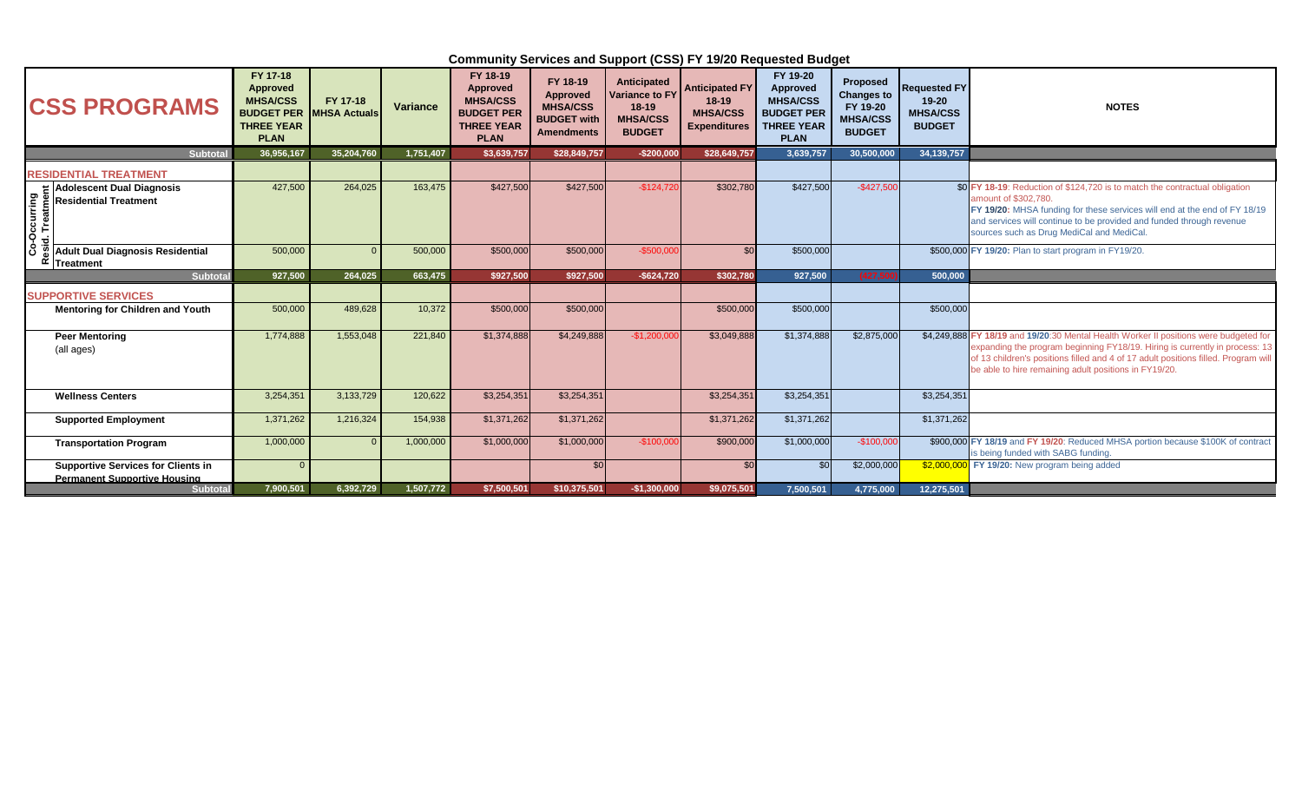| <b>CSS PROGRAMS</b>                                                                          | FY 17-18<br>Approved<br><b>MHSA/CSS</b><br><b>BUDGET PER MHSA Actuals</b><br><b>THREE YEAR</b><br><b>PLAN</b> | FY 17-18   | Variance  | FY 18-19<br>Approved<br><b>MHSA/CSS</b><br><b>BUDGET PER</b><br><b>THREE YEAR</b><br><b>PLAN</b> | FY 18-19<br>Approved<br><b>MHSA/CSS</b><br><b>BUDGET with</b><br><b>Amendments</b> | Anticipated<br><b>Variance to FY</b><br>$18-19$<br><b>MHSA/CSS</b><br><b>BUDGET</b> | <b>Anticipated FY</b><br>$18 - 19$<br><b>MHSA/CSS</b><br><b>Expenditures</b> | FY 19-20<br>Approved<br><b>MHSA/CSS</b><br><b>BUDGET PER</b><br><b>THREE YEAR</b><br><b>PLAN</b> | <b>Proposed</b><br><b>Changes to</b><br>FY 19-20<br><b>MHSA/CSS</b><br><b>BUDGET</b> | <b>Requested FY</b><br>$19 - 20$<br><b>MHSA/CSS</b><br><b>BUDGET</b> | <b>NOTES</b>                                                                                                                                                                                                                                                                                                        |
|----------------------------------------------------------------------------------------------|---------------------------------------------------------------------------------------------------------------|------------|-----------|--------------------------------------------------------------------------------------------------|------------------------------------------------------------------------------------|-------------------------------------------------------------------------------------|------------------------------------------------------------------------------|--------------------------------------------------------------------------------------------------|--------------------------------------------------------------------------------------|----------------------------------------------------------------------|---------------------------------------------------------------------------------------------------------------------------------------------------------------------------------------------------------------------------------------------------------------------------------------------------------------------|
| <b>Subtotal</b>                                                                              | 36,956,167                                                                                                    | 35,204,760 | 1,751,407 | \$3,639,757                                                                                      | \$28,849,757                                                                       | $-$200,000$                                                                         | \$28,649,757                                                                 | 3,639,757                                                                                        | 30,500,000                                                                           | 34, 139, 757                                                         |                                                                                                                                                                                                                                                                                                                     |
| <b>RESIDENTIAL TREATMENT</b>                                                                 |                                                                                                               |            |           |                                                                                                  |                                                                                    |                                                                                     |                                                                              |                                                                                                  |                                                                                      |                                                                      |                                                                                                                                                                                                                                                                                                                     |
| <b>Adolescent Dual Diagnosis</b><br>Occurring<br>1. Treatmer<br><b>Residential Treatment</b> | 427,500                                                                                                       | 264,025    | 163,475   | \$427,500                                                                                        | \$427,500                                                                          | $-$124,720$                                                                         | \$302,780                                                                    | \$427,500                                                                                        | $-$427,500$                                                                          |                                                                      | \$0 FY 18-19: Reduction of \$124,720 is to match the contractual obligation<br>amount of \$302,780.<br>FY 19/20: MHSA funding for these services will end at the end of FY 18/19<br>and services will continue to be provided and funded through revenue<br>sources such as Drug MediCal and MediCal                |
| Adult Dual Diagnosis Residential<br><b>Treatment</b>                                         | 500,000                                                                                                       |            | 500,000   | \$500,000                                                                                        | \$500,000                                                                          | $-$500,000$                                                                         | \$0                                                                          | \$500,000                                                                                        |                                                                                      |                                                                      | \$500,000 FY 19/20: Plan to start program in FY19/20.                                                                                                                                                                                                                                                               |
| <b>Subtotal</b>                                                                              | 927,500                                                                                                       | 264,025    | 663,475   | \$927,500                                                                                        | \$927,500                                                                          | $-$624,720$                                                                         | \$302,780                                                                    | 927,500                                                                                          | (427.5                                                                               | 500,000                                                              |                                                                                                                                                                                                                                                                                                                     |
| <b>SUPPORTIVE SERVICES</b>                                                                   |                                                                                                               |            |           |                                                                                                  |                                                                                    |                                                                                     |                                                                              |                                                                                                  |                                                                                      |                                                                      |                                                                                                                                                                                                                                                                                                                     |
| <b>Mentoring for Children and Youth</b>                                                      | 500,000                                                                                                       | 489,628    | 10,372    | \$500,000                                                                                        | \$500,000                                                                          |                                                                                     | \$500,000                                                                    | \$500,000                                                                                        |                                                                                      | \$500,000                                                            |                                                                                                                                                                                                                                                                                                                     |
| <b>Peer Mentoring</b><br>(all ages)                                                          | 1,774,888                                                                                                     | 1,553,048  | 221,840   | \$1,374,888                                                                                      | \$4,249,888                                                                        | $-$1,200,000$                                                                       | \$3,049,888                                                                  | \$1,374,888                                                                                      | \$2,875,000                                                                          |                                                                      | \$4,249,888 FY 18/19 and 19/20:30 Mental Health Worker II positions were budgeted for<br>expanding the program beginning FY18/19. Hiring is currently in process: 13<br>of 13 children's positions filled and 4 of 17 adult positions filled. Program will<br>be able to hire remaining adult positions in FY19/20. |
| <b>Wellness Centers</b>                                                                      | 3,254,351                                                                                                     | 3,133,729  | 120,622   | \$3,254,351                                                                                      | \$3,254,351                                                                        |                                                                                     | \$3,254,351                                                                  | \$3,254,351                                                                                      |                                                                                      | \$3,254,351                                                          |                                                                                                                                                                                                                                                                                                                     |
| <b>Supported Employment</b>                                                                  | 1,371,262                                                                                                     | 1,216,324  | 154,938   | \$1,371,262                                                                                      | \$1,371,262                                                                        |                                                                                     | \$1,371,262                                                                  | \$1,371,262                                                                                      |                                                                                      | \$1,371,262                                                          |                                                                                                                                                                                                                                                                                                                     |
| <b>Transportation Program</b>                                                                | 1,000,000                                                                                                     |            | 1,000,000 | \$1,000,000                                                                                      | \$1,000,000                                                                        | $-$100,000$                                                                         | \$900,000                                                                    | \$1,000,000                                                                                      | $-$100,000$                                                                          |                                                                      | \$900,000 FY 18/19 and FY 19/20: Reduced MHSA portion because \$100K of contract<br>is being funded with SABG funding.                                                                                                                                                                                              |
| <b>Supportive Services for Clients in</b><br><b>Permanent Supportive Housing</b>             |                                                                                                               |            |           |                                                                                                  | \$0                                                                                |                                                                                     | \$0                                                                          | \$0                                                                                              | \$2,000,000                                                                          |                                                                      | \$2,000,000 FY 19/20: New program being added                                                                                                                                                                                                                                                                       |
| <b>Subtotal</b>                                                                              | 7,900,501                                                                                                     | 6,392,729  | 1,507,772 | \$7,500,501                                                                                      | \$10,375,501                                                                       | $-$1,300,000$                                                                       | \$9,075,501                                                                  | 7,500,501                                                                                        | 4,775,000                                                                            | 12,275,501                                                           |                                                                                                                                                                                                                                                                                                                     |